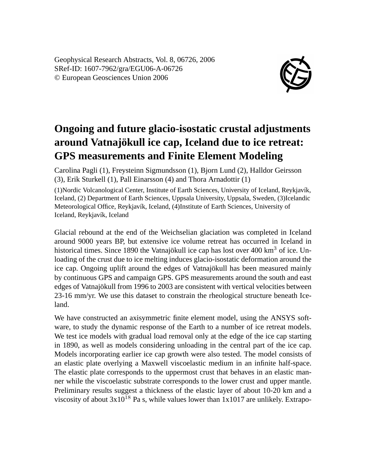Geophysical Research Abstracts, Vol. 8, 06726, 2006 SRef-ID: 1607-7962/gra/EGU06-A-06726 © European Geosciences Union 2006



## **Ongoing and future glacio-isostatic crustal adjustments around Vatnajökull ice cap, Iceland due to ice retreat: GPS measurements and Finite Element Modeling**

Carolina Pagli (1), Freysteinn Sigmundsson (1), Bjorn Lund (2), Halldor Geirsson (3), Erik Sturkell (1), Pall Einarsson (4) and Thora Arnadottir (1)

(1)Nordic Volcanological Center, Institute of Earth Sciences, University of Iceland, Reykjavík, Iceland, (2) Department of Earth Sciences, Uppsala University, Uppsala, Sweden, (3)Icelandic Meteorological Office, Reykjavík, Iceland, (4)Institute of Earth Sciences, University of Iceland, Reykjavík, Iceland

Glacial rebound at the end of the Weichselian glaciation was completed in Iceland around 9000 years BP, but extensive ice volume retreat has occurred in Iceland in historical times. Since 1890 the Vatnajökull ice cap has lost over 400 km<sup>3</sup> of ice. Unloading of the crust due to ice melting induces glacio-isostatic deformation around the ice cap. Ongoing uplift around the edges of Vatnajökull has been measured mainly by continuous GPS and campaign GPS. GPS measurements around the south and east edges of Vatnajökull from 1996 to 2003 are consistent with vertical velocities between 23-16 mm/yr. We use this dataset to constrain the rheological structure beneath Iceland.

We have constructed an axisymmetric finite element model, using the ANSYS software, to study the dynamic response of the Earth to a number of ice retreat models. We test ice models with gradual load removal only at the edge of the ice cap starting in 1890, as well as models considering unloading in the central part of the ice cap. Models incorporating earlier ice cap growth were also tested. The model consists of an elastic plate overlying a Maxwell viscoelastic medium in an infinite half-space. The elastic plate corresponds to the uppermost crust that behaves in an elastic manner while the viscoelastic substrate corresponds to the lower crust and upper mantle. Preliminary results suggest a thickness of the elastic layer of about 10-20 km and a viscosity of about  $3x10^{18}$  Pa s, while values lower than 1x1017 are unlikely. Extrapo-